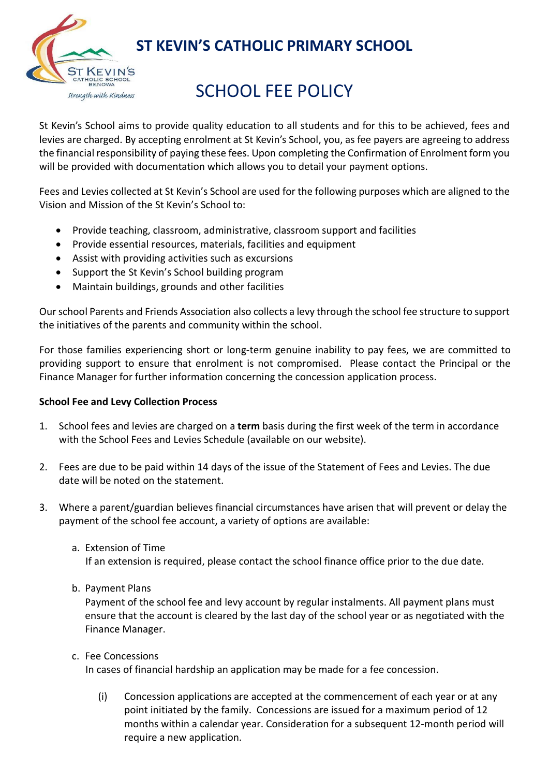

## ST KEVIN'S CATHOLIC PRIMARY SCHOOL

# SCHOOL FEE POLICY

St Kevin's School aims to provide quality education to all students and for this to be achieved, fees and levies are charged. By accepting enrolment at St Kevin's School, you, as fee payers are agreeing to address the financial responsibility of paying these fees. Upon completing the Confirmation of Enrolment form you will be provided with documentation which allows you to detail your payment options.

Fees and Levies collected at St Kevin's School are used for the following purposes which are aligned to the Vision and Mission of the St Kevin's School to:

- Provide teaching, classroom, administrative, classroom support and facilities
- Provide essential resources, materials, facilities and equipment
- Assist with providing activities such as excursions
- Support the St Kevin's School building program
- Maintain buildings, grounds and other facilities

Our school Parents and Friends Association also collects a levy through the school fee structure to support the initiatives of the parents and community within the school.

For those families experiencing short or long-term genuine inability to pay fees, we are committed to providing support to ensure that enrolment is not compromised. Please contact the Principal or the Finance Manager for further information concerning the concession application process.

### School Fee and Levy Collection Process

- 1. School fees and levies are charged on a term basis during the first week of the term in accordance with the School Fees and Levies Schedule (available on our website).
- 2. Fees are due to be paid within 14 days of the issue of the Statement of Fees and Levies. The due date will be noted on the statement.
- 3. Where a parent/guardian believes financial circumstances have arisen that will prevent or delay the payment of the school fee account, a variety of options are available:
	- a. Extension of Time

If an extension is required, please contact the school finance office prior to the due date.

b. Payment Plans

Payment of the school fee and levy account by regular instalments. All payment plans must ensure that the account is cleared by the last day of the school year or as negotiated with the Finance Manager.

c. Fee Concessions

In cases of financial hardship an application may be made for a fee concession.

(i) Concession applications are accepted at the commencement of each year or at any point initiated by the family. Concessions are issued for a maximum period of 12 months within a calendar year. Consideration for a subsequent 12-month period will require a new application.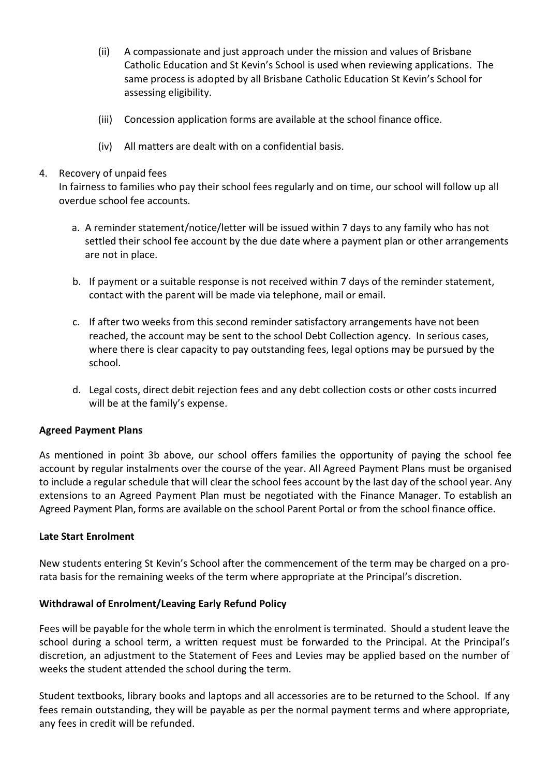- (ii) A compassionate and just approach under the mission and values of Brisbane Catholic Education and St Kevin's School is used when reviewing applications. The same process is adopted by all Brisbane Catholic Education St Kevin's School for assessing eligibility.
- (iii) Concession application forms are available at the school finance office.
- (iv) All matters are dealt with on a confidential basis.

#### 4. Recovery of unpaid fees

In fairness to families who pay their school fees regularly and on time, our school will follow up all overdue school fee accounts.

- a. A reminder statement/notice/letter will be issued within 7 days to any family who has not settled their school fee account by the due date where a payment plan or other arrangements are not in place.
- b. If payment or a suitable response is not received within 7 days of the reminder statement, contact with the parent will be made via telephone, mail or email.
- c. If after two weeks from this second reminder satisfactory arrangements have not been reached, the account may be sent to the school Debt Collection agency. In serious cases, where there is clear capacity to pay outstanding fees, legal options may be pursued by the school.
- d. Legal costs, direct debit rejection fees and any debt collection costs or other costs incurred will be at the family's expense.

#### Agreed Payment Plans

As mentioned in point 3b above, our school offers families the opportunity of paying the school fee account by regular instalments over the course of the year. All Agreed Payment Plans must be organised to include a regular schedule that will clear the school fees account by the last day of the school year. Any extensions to an Agreed Payment Plan must be negotiated with the Finance Manager. To establish an Agreed Payment Plan, forms are available on the school Parent Portal or from the school finance office.

### Late Start Enrolment

New students entering St Kevin's School after the commencement of the term may be charged on a prorata basis for the remaining weeks of the term where appropriate at the Principal's discretion.

### Withdrawal of Enrolment/Leaving Early Refund Policy

Fees will be payable for the whole term in which the enrolment is terminated. Should a student leave the school during a school term, a written request must be forwarded to the Principal. At the Principal's discretion, an adjustment to the Statement of Fees and Levies may be applied based on the number of weeks the student attended the school during the term.

Student textbooks, library books and laptops and all accessories are to be returned to the School. If any fees remain outstanding, they will be payable as per the normal payment terms and where appropriate, any fees in credit will be refunded.